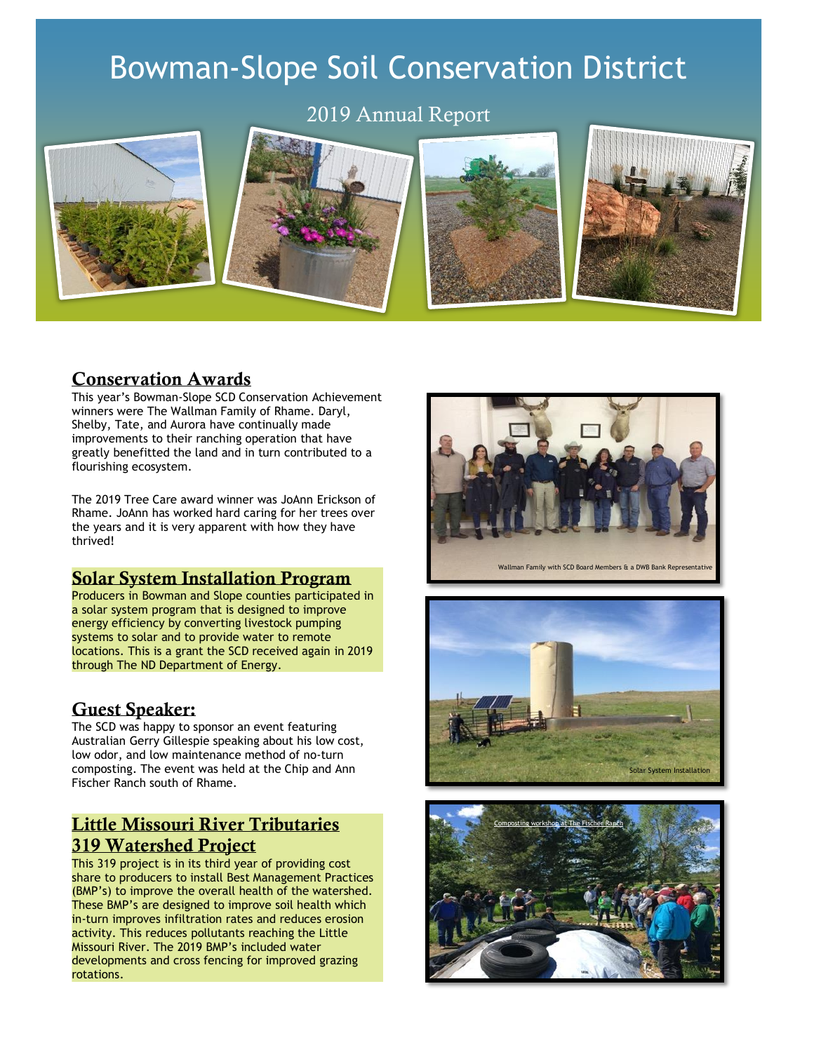# Bowman-Slope Soil Conservation District

# 2019 Annual Report



### Conservation Awards

This year's Bowman-Slope SCD Conservation Achievement winners were The Wallman Family of Rhame. Daryl, Shelby, Tate, and Aurora have continually made improvements to their ranching operation that have greatly benefitted the land and in turn contributed to a flourishing ecosystem.

The 2019 Tree Care award winner was JoAnn Erickson of Rhame. JoAnn has worked hard caring for her trees over the years and it is very apparent with how they have thrived!

#### Solar System Installation Program

Producers in Bowman and Slope counties participated in a solar system program that is designed to improve energy efficiency by converting livestock pumping systems to solar and to provide water to remote locations. This is a grant the SCD received again in 2019 through The ND Department of Energy.

#### Guest Speaker:

The SCD was happy to sponsor an event featuring Australian Gerry Gillespie speaking about his low cost, low odor, and low maintenance method of no-turn composting. The event was held at the Chip and Ann Fischer Ranch south of Rhame.

## Little Missouri River Tributaries 319 Watershed Project

This 319 project is in its third year of providing cost share to producers to install Best Management Practices (BMP's) to improve the overall health of the watershed. These BMP's are designed to improve soil health which in-turn improves infiltration rates and reduces erosion activity. This reduces pollutants reaching the Little Missouri River. The 2019 BMP's included water developments and cross fencing for improved grazing rotations.